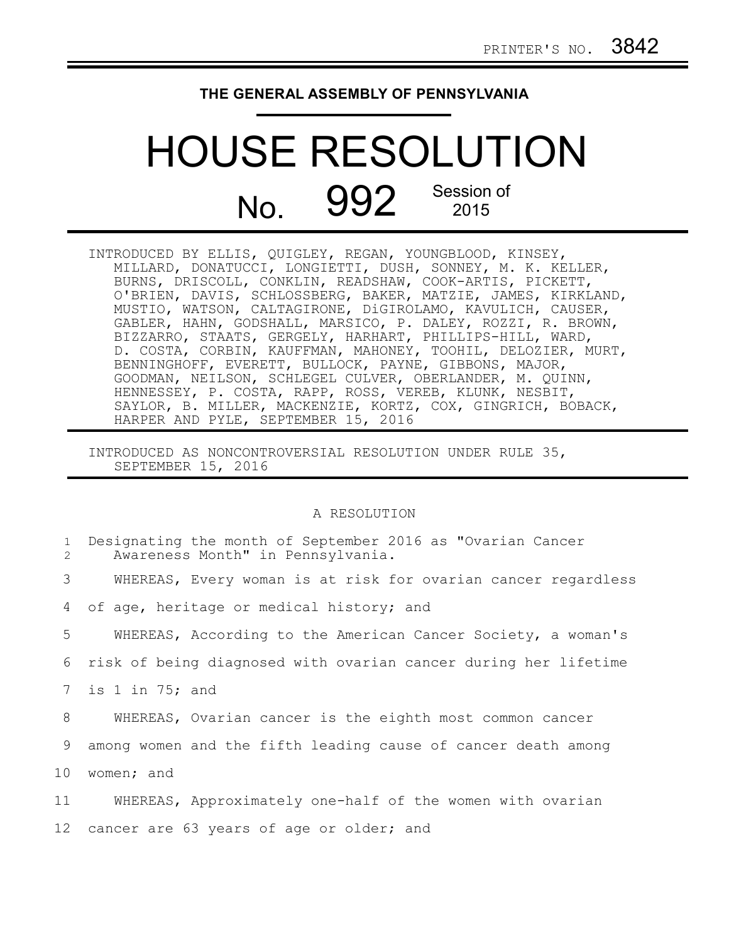## **THE GENERAL ASSEMBLY OF PENNSYLVANIA**

## HOUSE RESOLUTION No. 992 Session of

INTRODUCED BY ELLIS, QUIGLEY, REGAN, YOUNGBLOOD, KINSEY, MILLARD, DONATUCCI, LONGIETTI, DUSH, SONNEY, M. K. KELLER, BURNS, DRISCOLL, CONKLIN, READSHAW, COOK-ARTIS, PICKETT, O'BRIEN, DAVIS, SCHLOSSBERG, BAKER, MATZIE, JAMES, KIRKLAND, MUSTIO, WATSON, CALTAGIRONE, DiGIROLAMO, KAVULICH, CAUSER, GABLER, HAHN, GODSHALL, MARSICO, P. DALEY, ROZZI, R. BROWN, BIZZARRO, STAATS, GERGELY, HARHART, PHILLIPS-HILL, WARD, D. COSTA, CORBIN, KAUFFMAN, MAHONEY, TOOHIL, DELOZIER, MURT, BENNINGHOFF, EVERETT, BULLOCK, PAYNE, GIBBONS, MAJOR, GOODMAN, NEILSON, SCHLEGEL CULVER, OBERLANDER, M. QUINN, HENNESSEY, P. COSTA, RAPP, ROSS, VEREB, KLUNK, NESBIT, SAYLOR, B. MILLER, MACKENZIE, KORTZ, COX, GINGRICH, BOBACK, HARPER AND PYLE, SEPTEMBER 15, 2016

INTRODUCED AS NONCONTROVERSIAL RESOLUTION UNDER RULE 35, SEPTEMBER 15, 2016

## A RESOLUTION

| $\mathbf{1}$<br>2 | Designating the month of September 2016 as "Ovarian Cancer<br>Awareness Month" in Pennsylvania. |
|-------------------|-------------------------------------------------------------------------------------------------|
| 3                 | WHEREAS, Every woman is at risk for ovarian cancer regardless                                   |
| 4                 | of age, heritage or medical history; and                                                        |
| 5                 | WHEREAS, According to the American Cancer Society, a woman's                                    |
| 6                 | risk of being diagnosed with ovarian cancer during her lifetime                                 |
| $7\overline{ }$   | is 1 in 75; and                                                                                 |
| 8                 | WHEREAS, Ovarian cancer is the eighth most common cancer                                        |
| 9                 | among women and the fifth leading cause of cancer death among                                   |
| 10                | women; and                                                                                      |
| 11                | WHEREAS, Approximately one-half of the women with ovarian                                       |
| 12                | cancer are 63 years of age or older; and                                                        |
|                   |                                                                                                 |